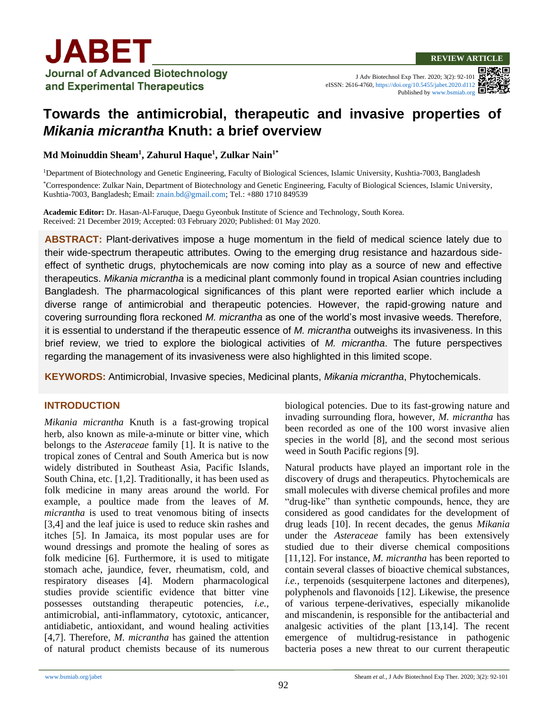J Adv Biotechnol Exp Ther. 2020; 3(2): 92-101 eISSN: 2616-4760, <https://doi.org/10.5455/jabet.2020.d112> Published b[y www.bsmiab.org](http://www.bsmiab.org/)

# **Towards the antimicrobial, therapeutic and invasive properties of**  *Mikania micrantha* **Knuth: a brief overview**

#### **Md Moinuddin Sheam<sup>1</sup> , Zahurul Haque<sup>1</sup> , Zulkar Nain1\***

<sup>1</sup>Department of Biotechnology and Genetic Engineering, Faculty of Biological Sciences, Islamic University, Kushtia-7003, Bangladesh

\*Correspondence: Zulkar Nain, Department of Biotechnology and Genetic Engineering, Faculty of Biological Sciences, Islamic University, Kushtia-7003, Bangladesh; Email: [znain.bd@gmail.com;](mailto:znain.bd@gmail.com) Tel.: +880 1710 849539

**Academic Editor:** Dr. Hasan-Al-Faruque, Daegu Gyeonbuk Institute of Science and Technology, South Korea. Received: 21 December 2019; Accepted: 03 February 2020; Published: 01 May 2020.

**ABSTRACT:** Plant-derivatives impose a huge momentum in the field of medical science lately due to their wide-spectrum therapeutic attributes. Owing to the emerging drug resistance and hazardous sideeffect of synthetic drugs, phytochemicals are now coming into play as a source of new and effective therapeutics. *Mikania micrantha* is a medicinal plant commonly found in tropical Asian countries including Bangladesh. The pharmacological significances of this plant were reported earlier which include a diverse range of antimicrobial and therapeutic potencies. However, the rapid-growing nature and covering surrounding flora reckoned *M. micrantha* as one of the world's most invasive weeds. Therefore, it is essential to understand if the therapeutic essence of *M. micrantha* outweighs its invasiveness. In this brief review, we tried to explore the biological activities of *M. micrantha*. The future perspectives regarding the management of its invasiveness were also highlighted in this limited scope.

**KEYWORDS:** Antimicrobial, Invasive species, Medicinal plants, *Mikania micrantha*, Phytochemicals.

#### **INTRODUCTION**

*Mikania micrantha* Knuth is a fast-growing tropical herb, also known as mile-a-minute or bitter vine, which belongs to the *Asteraceae* family [1]. It is native to the tropical zones of Central and South America but is now widely distributed in Southeast Asia, Pacific Islands, South China, etc. [1,2]. Traditionally, it has been used as folk medicine in many areas around the world. For example, a poultice made from the leaves of *M. micrantha* is used to treat venomous biting of insects [3,4] and the leaf juice is used to reduce skin rashes and itches [5]. In Jamaica, its most popular uses are for wound dressings and promote the healing of sores as folk medicine [6]. Furthermore, it is used to mitigate stomach ache, jaundice, fever, rheumatism, cold, and respiratory diseases [4]. Modern pharmacological studies provide scientific evidence that bitter vine possesses outstanding therapeutic potencies, *i.e.,* antimicrobial, anti-inflammatory, cytotoxic, anticancer, antidiabetic, antioxidant, and wound healing activities [4,7]. Therefore, *M. micrantha* has gained the attention of natural product chemists because of its numerous biological potencies. Due to its fast-growing nature and invading surrounding flora, however, *M. micrantha* has been recorded as one of the 100 worst invasive alien species in the world [8], and the second most serious weed in South Pacific regions [9].

Natural products have played an important role in the discovery of drugs and therapeutics. Phytochemicals are small molecules with diverse chemical profiles and more "drug-like" than synthetic compounds, hence, they are considered as good candidates for the development of drug leads [10]. In recent decades, the genus *Mikania* under the *Asteraceae* family has been extensively studied due to their diverse chemical compositions [11,12]. For instance, *M. micrantha* has been reported to contain several classes of bioactive chemical substances, *i.e.,* terpenoids (sesquiterpene lactones and diterpenes), polyphenols and flavonoids [12]. Likewise, the presence of various terpene-derivatives, especially mikanolide and miscandenin, is responsible for the antibacterial and analgesic activities of the plant [13,14]. The recent emergence of multidrug-resistance in pathogenic bacteria poses a new threat to our current therapeutic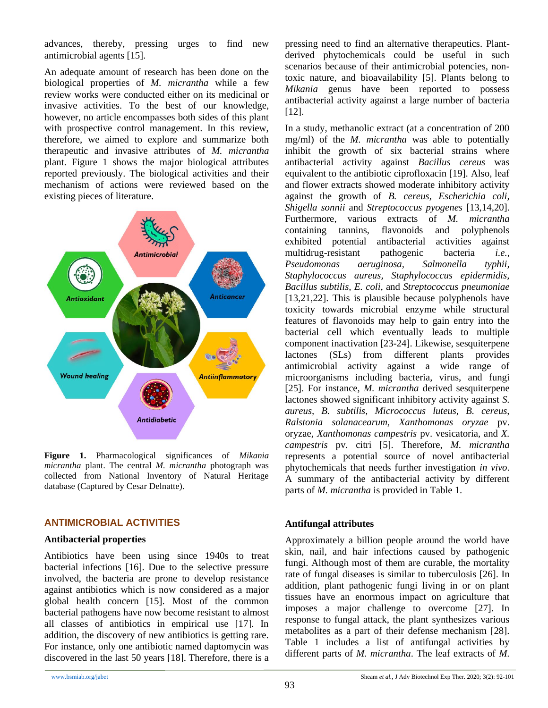advances, thereby, pressing urges to find new antimicrobial agents [15].

An adequate amount of research has been done on the biological properties of *M. micrantha* while a few review works were conducted either on its medicinal or invasive activities. To the best of our knowledge, however, no article encompasses both sides of this plant with prospective control management. In this review, therefore, we aimed to explore and summarize both therapeutic and invasive attributes of *M. micrantha* plant. Figure 1 shows the major biological attributes reported previously. The biological activities and their mechanism of actions were reviewed based on the existing pieces of literature.



**Figure 1.** Pharmacological significances of *Mikania micrantha* plant. The central *M. micrantha* photograph was collected from National Inventory of Natural Heritage database (Captured by Cesar Delnatte).

#### **ANTIMICROBIAL ACTIVITIES**

#### **Antibacterial properties**

Antibiotics have been using since 1940s to treat bacterial infections [16]. Due to the selective pressure involved, the bacteria are prone to develop resistance against antibiotics which is now considered as a major global health concern [15]. Most of the common bacterial pathogens have now become resistant to almost all classes of antibiotics in empirical use [17]. In addition, the discovery of new antibiotics is getting rare. For instance, only one antibiotic named daptomycin was discovered in the last 50 years [18]. Therefore, there is a pressing need to find an alternative therapeutics. Plantderived phytochemicals could be useful in such scenarios because of their antimicrobial potencies, nontoxic nature, and bioavailability [5]. Plants belong to *Mikania* genus have been reported to possess antibacterial activity against a large number of bacteria [12].

In a study, methanolic extract (at a concentration of 200 mg/ml) of the *M. micrantha* was able to potentially inhibit the growth of six bacterial strains where antibacterial activity against *Bacillus cereus* was equivalent to the antibiotic ciprofloxacin [19]. Also, leaf and flower extracts showed moderate inhibitory activity against the growth of *B. cereus, Escherichia coli, Shigella sonnii* and *Streptococcus pyogenes* [13,14,20]. Furthermore, various extracts of *M. micrantha* containing tannins, flavonoids and polyphenols exhibited potential antibacterial activities against multidrug-resistant pathogenic bacteria *i.e., Pseudomonas aeruginosa, Salmonella typhii, Staphylococcus aureus, Staphylococcus epidermidis, Bacillus subtilis, E. coli*, and *Streptococcus pneumoniae*  [13,21,22]. This is plausible because polyphenols have toxicity towards microbial enzyme while structural features of flavonoids may help to gain entry into the bacterial cell which eventually leads to multiple component inactivation [23-24]. Likewise, sesquiterpene lactones (SLs) from different plants provides antimicrobial activity against a wide range of microorganisms including bacteria, virus, and fungi [25]. For instance, *M. micrantha* derived sesquiterpene lactones showed significant inhibitory activity against *S. aureus, B. subtilis, Micrococcus luteus, B. cereus, Ralstonia solanacearum, Xanthomonas oryzae* pv. oryzae, *Xanthomonas campestris* pv. vesicatoria, and *X. campestris* pv. citri [5]. Therefore, *M. micrantha* represents a potential source of novel antibacterial phytochemicals that needs further investigation *in vivo*. A summary of the antibacterial activity by different parts of *M. micrantha* is provided in Table 1.

## **Antifungal attributes**

Approximately a billion people around the world have skin, nail, and hair infections caused by pathogenic fungi. Although most of them are curable, the mortality rate of fungal diseases is similar to tuberculosis [26]. In addition, plant pathogenic fungi living in or on plant tissues have an enormous impact on agriculture that imposes a major challenge to overcome [27]. In response to fungal attack, the plant synthesizes various metabolites as a part of their defense mechanism [28]. Table 1 includes a list of antifungal activities by different parts of *M. micrantha*. The leaf extracts of *M.*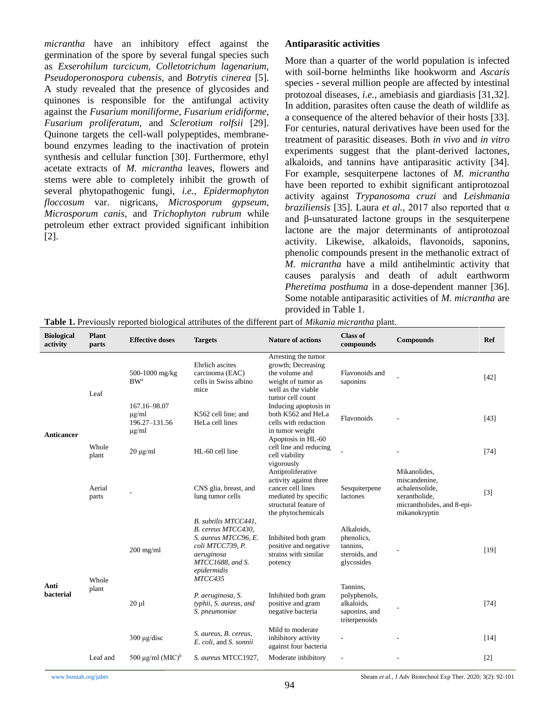*micrantha* have an inhibitory effect against the germination of the spore by several fungal species such as *Exserohilum turcicum, Colletotrichum lagenarium, Pseudoperonospora cubensis,* and *Botrytis cinerea* [5]. A study revealed that the presence of glycosides and quinones is responsible for the antifungal activity against the *Fusarium moniliforme, Fusarium eridiforme, Fusarium proliferatum,* and *Sclerotium rolfsii* [29]. Quinone targets the cell-wall polypeptides, membranebound enzymes leading to the inactivation of protein synthesis and cellular function [30]. Furthermore, ethyl acetate extracts of *M. micrantha* leaves, flowers and stems were able to completely inhibit the growth of several phytopathogenic fungi, *i.e., Epidermophyton floccosum* var. nigricans, *Microsporum gypseum, Microsporum canis,* and *Trichophyton rubrum* while petroleum ether extract provided significant inhibition [2].

#### **Antiparasitic activities**

More than a quarter of the world population is infected with soil-borne helminths like hookworm and *Ascaris* species - several million people are affected by intestinal protozoal diseases, *i.e.,* amebiasis and giardiasis [31,32]. In addition, parasites often cause the death of wildlife as a consequence of the altered behavior of their hosts [33]. For centuries, natural derivatives have been used for the treatment of parasitic diseases. Both *in vivo* and *in vitro* experiments suggest that the plant-derived lactones, alkaloids, and tannins have antiparasitic activity [34]. For example, sesquiterpene lactones of *M. micrantha* have been reported to exhibit significant antiprotozoal activity against *Trypanosoma cruzi* and *Leishmania braziliensis* [35]. Laura *et al.,* 2017 also reported that α and β-unsaturated lactone groups in the sesquiterpene lactone are the major determinants of antiprotozoal activity. Likewise, alkaloids, flavonoids, saponins, phenolic compounds present in the methanolic extract of *M. micrantha* have a mild antihelmintic activity that causes paralysis and death of adult earthworm *Pheretima posthuma* in a dose-dependent manner [36]. Some notable antiparasitic activities of *M. micrantha* are provided in Table 1.

| <b>Biological</b><br>activity | <b>Plant</b><br>parts | <b>Effective doses</b>                                    | <b>Targets</b>                                                                                                                                     | <b>Nature of actions</b>                                                                                                                | <b>Class of</b><br>compounds                                             | <b>Compounds</b>                                                                                                | <b>Ref</b> |
|-------------------------------|-----------------------|-----------------------------------------------------------|----------------------------------------------------------------------------------------------------------------------------------------------------|-----------------------------------------------------------------------------------------------------------------------------------------|--------------------------------------------------------------------------|-----------------------------------------------------------------------------------------------------------------|------------|
| <b>Anticancer</b>             | Leaf                  | 500-1000 mg/kg<br><b>BW</b> <sup>a</sup>                  | Ehrlich ascites<br>carcinoma (EAC)<br>cells in Swiss albino<br>mice                                                                                | Arresting the tumor<br>growth; Decreasing<br>the volume and<br>weight of tumor as<br>well as the viable<br>tumor cell count             | Flavonoids and<br>saponins                                               |                                                                                                                 | [42]       |
|                               |                       | 167.16-98.07<br>$\mu$ g/ml<br>196.27-131.56<br>$\mu$ g/ml | K562 cell line; and<br>HeLa cell lines                                                                                                             | Inducing apoptosis in<br>both K562 and HeLa<br>cells with reduction<br>in tumor weight                                                  | Flavonoids                                                               |                                                                                                                 | [43]       |
|                               | Whole<br>plant        | $20 \mu g/ml$                                             | HL-60 cell line                                                                                                                                    | Apoptosis in HL-60<br>cell line and reducing<br>cell viability<br>vigorously                                                            |                                                                          |                                                                                                                 | $[74]$     |
|                               | Aerial<br>parts       |                                                           | CNS glia, breast, and<br>lung tumor cells                                                                                                          | Antiproliferative<br>activity against three<br>cancer cell lines<br>mediated by specific<br>structural feature of<br>the phytochemicals | Sesquiterpene<br>lactones                                                | Mikanolides,<br>miscandenine,<br>achalensolide,<br>xerantholide,<br>micrantholides, and 8-epi-<br>mikanokryptin | $[3]$      |
| Anti<br>bacterial             | Whole<br>plant        | $200$ mg/ml                                               | B. subtilis MTCC441,<br>B. cereus MTCC430,<br>S. aureus MTCC96, E.<br>coli MTCC739, P.<br>aeruginosa<br>MTCC1688, and S.<br>epidermidis<br>MTCC435 | Inhibited both gram<br>positive and negative<br>strains with similar<br>potency                                                         | Alkaloids,<br>phenolics,<br>tannins,<br>steroids, and<br>glycosides      |                                                                                                                 | [19]       |
|                               |                       | $20 \mu l$                                                | P. aeruginosa, S.<br>typhii, S. aureus, and<br>S. pneumoniae                                                                                       | Inhibited both gram<br>positive and gram<br>negative bacteria                                                                           | Tannins,<br>polyphenols,<br>alkaloids,<br>saponins, and<br>triterpenoids |                                                                                                                 | [74]       |
|                               |                       | $300 \mu g/disc$                                          | S. aureus, B. cereus,<br>E. coli, and S. sonnii                                                                                                    | Mild to moderate<br>inhibitory activity<br>against four bacteria                                                                        |                                                                          |                                                                                                                 | $[14]$     |
|                               | Leaf and              | 500 µg/ml $(MIC)^b$                                       | S. aureus MTCC1927,                                                                                                                                | Moderate inhibitory                                                                                                                     |                                                                          |                                                                                                                 | $[2]$      |

**Table 1.** Previously reported biological attributes of the different part of *Mikania micrantha* plant.

[www.bsmiab.org/jabet](http://www.bsmiab.org/jabet) Sheam *et al.*, J Adv Biotechnol Exp Ther. 2020; 3(2): 92-101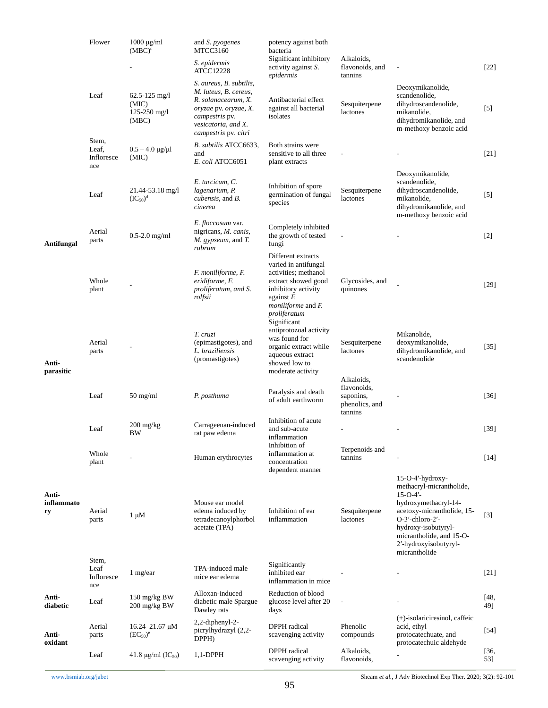|                                  | Flower                              | $1000 \mu g/ml$<br>and <i>S. pyogenes</i><br>$(MBC)^c$<br>MTCC3160 | potency against both<br>bacteria                                                                                                                                  |                                                                                                                                                                         |                                                                     |                                                                                                                                                                                                                                           |             |
|----------------------------------|-------------------------------------|--------------------------------------------------------------------|-------------------------------------------------------------------------------------------------------------------------------------------------------------------|-------------------------------------------------------------------------------------------------------------------------------------------------------------------------|---------------------------------------------------------------------|-------------------------------------------------------------------------------------------------------------------------------------------------------------------------------------------------------------------------------------------|-------------|
|                                  |                                     |                                                                    | S. epidermis<br><b>ATCC12228</b>                                                                                                                                  | Significant inhibitory<br>activity against S.<br>epidermis                                                                                                              | Alkaloids,<br>flavonoids, and<br>tannins                            | $\overline{\phantom{a}}$                                                                                                                                                                                                                  | $[22]$      |
|                                  | Leaf                                | $62.5 - 125$ mg/l<br>(MIC)<br>$125 - 250$ mg/l<br>(MBC)            | S. aureus, B. subtilis,<br>M. luteus, B. cereus,<br>R. solanacearum, X.<br>oryzae pv. oryzae, X.<br>campestris pv.<br>vesicatoria, and X.<br>campestris pv. citri | Antibacterial effect<br>against all bacterial<br>isolates                                                                                                               | Sesquiterpene<br>lactones                                           | Deoxymikanolide,<br>scandenolide,<br>dihydroscandenolide,<br>mikanolide,<br>dihydromikanolide, and<br>m-methoxy benzoic acid                                                                                                              | $[5]$       |
|                                  | Stem,<br>Leaf,<br>Infloresce<br>nce | $0.5 - 4.0 \mu g/\mu l$<br>(MIC)                                   | B. subtilis ATCC6633,<br>and<br>E. coli ATCC6051                                                                                                                  | Both strains were<br>sensitive to all three<br>plant extracts                                                                                                           |                                                                     |                                                                                                                                                                                                                                           | $[21]$      |
|                                  | Leaf                                | 21.44-53.18 mg/l<br>$(IC_{50})^d$                                  | E. turcicum, C.<br>lagenarium, P.<br><i>cubensis</i> , and <i>B</i> .<br>cinerea                                                                                  | Inhibition of spore<br>germination of fungal<br>species                                                                                                                 | Sesquiterpene<br>lactones                                           | Deoxymikanolide,<br>scandenolide,<br>dihydroscandenolide,<br>mikanolide,<br>dihydromikanolide, and<br>m-methoxy benzoic acid                                                                                                              | $[5]$       |
| Antifungal<br>Anti-<br>parasitic | Aerial<br>parts                     | $0.5 - 2.0$ mg/ml                                                  | E. floccosum var.<br>nigricans, M. canis,<br>M. gypseum, and T.<br>rubrum                                                                                         | Completely inhibited<br>the growth of tested<br>fungi                                                                                                                   |                                                                     |                                                                                                                                                                                                                                           | $[2]$       |
|                                  | Whole<br>plant                      |                                                                    | F. moniliforme, F.<br>eridiforme, F.<br>proliferatum, and S.<br>rolfsii                                                                                           | Different extracts<br>varied in antifungal<br>activities; methanol<br>extract showed good<br>inhibitory activity<br>against $F$ .<br>moniliforme and F.<br>proliferatum | Glycosides, and<br>quinones                                         |                                                                                                                                                                                                                                           | $[29]$      |
|                                  | Aerial<br>parts                     |                                                                    | T. cruzi<br>(epimastigotes), and<br>L. braziliensis<br>(promastigotes)                                                                                            | Significant<br>antiprotozoal activity<br>was found for<br>organic extract while<br>aqueous extract<br>showed low to<br>moderate activity                                | Sesquiterpene<br>lactones                                           | Mikanolide,<br>deoxymikanolide,<br>dihydromikanolide, and<br>scandenolide                                                                                                                                                                 | $[35]$      |
|                                  | Leaf                                | $50 \text{ mg/ml}$                                                 | P. posthuma                                                                                                                                                       | Paralysis and death<br>of adult earthworm                                                                                                                               | Alkaloids,<br>flavonoids,<br>saponins,<br>phenolics, and<br>tannins |                                                                                                                                                                                                                                           | $[36]$      |
|                                  | Leaf                                | $200 \frac{\text{mg}}{\text{kg}}$<br>BW                            | Carrageenan-induced<br>rat paw edema                                                                                                                              | Inhibition of acute<br>and sub-acute<br>inflammation<br>Inhibition of                                                                                                   |                                                                     |                                                                                                                                                                                                                                           | [39]        |
|                                  | Whole<br>plant                      |                                                                    | Human erythrocytes                                                                                                                                                | inflammation at<br>concentration<br>dependent manner                                                                                                                    | Terpenoids and<br>tannins                                           |                                                                                                                                                                                                                                           | $[14]$      |
| Anti-<br>inflammato<br>ry        | Aerial<br>parts                     | $1 \mu M$                                                          | Mouse ear model<br>edema induced by<br>tetradecanoylphorbol<br>acetate (TPA)                                                                                      | Inhibition of ear<br>inflammation                                                                                                                                       | Sesquiterpene<br>lactones                                           | $15-O-4'$ -hydroxy-<br>methacryl-micrantholide,<br>$15 - 0 - 4'$<br>hydroxymethacryl-14-<br>acetoxy-micrantholide, 15-<br>$O-3'$ -chloro-2'-<br>hydroxy-isobutyryl-<br>micrantholide, and 15-O-<br>2'-hydroxyisobutyryl-<br>micrantholide | $[3]$       |
|                                  | Stem,<br>Leaf<br>Infloresce<br>nce  | 1 mg/ear                                                           | TPA-induced male<br>mice ear edema                                                                                                                                | Significantly<br>inhibited ear<br>inflammation in mice                                                                                                                  |                                                                     |                                                                                                                                                                                                                                           | $[21]$      |
| Anti-<br>diabetic                | Leaf                                | 150 mg/kg BW<br>200 mg/kg BW                                       | Alloxan-induced<br>diabetic male Spargue<br>Dawley rats                                                                                                           | Reduction of blood<br>glucose level after 20<br>days                                                                                                                    | $\overline{\phantom{a}}$                                            |                                                                                                                                                                                                                                           | [48,<br>49] |
| Anti-                            | Aerial<br>parts                     | $16.24 - 21.67 \mu M$<br>$(EC_{50})^e$                             | 2,2-diphenyl-2-<br>picrylhydrazyl (2,2-<br>DPPH)                                                                                                                  | DPPH radical<br>scavenging activity                                                                                                                                     | Phenolic<br>compounds                                               | (+)-isolariciresinol, caffeic<br>acid, ethyl<br>protocatechuate, and<br>protocatechuic aldehyde                                                                                                                                           | $[54]$      |
| oxidant                          | Leaf                                | 41.8 $\mu$ g/ml (IC <sub>50</sub> )                                | $1,1$ -DPPH                                                                                                                                                       | DPPH radical<br>scavenging activity                                                                                                                                     | Alkaloids,<br>flavonoids,                                           |                                                                                                                                                                                                                                           | [36,<br>53] |

[www.bsmiab.org/jabet](http://www.bsmiab.org/jabet) Sheam *et al.*, J Adv Biotechnol Exp Ther. 2020; 3(2): 92-101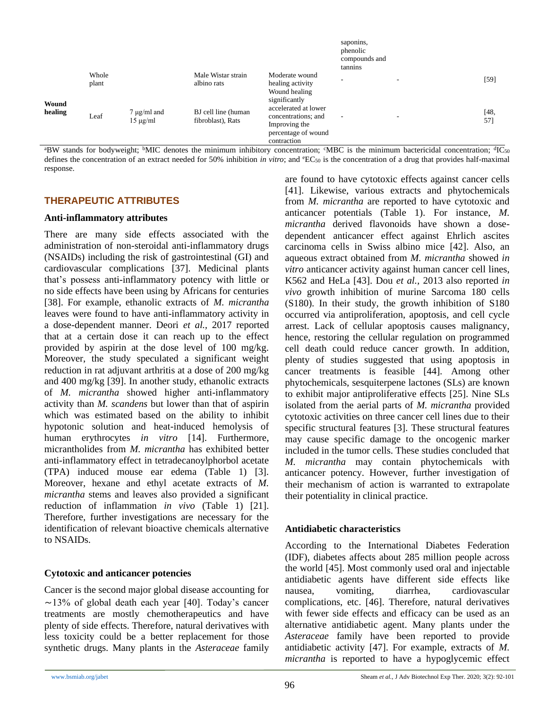|                  |                |                                   |                                          |                                                                                                    | saponins,<br>phenolic<br>compounds and<br>tannins    |             |
|------------------|----------------|-----------------------------------|------------------------------------------|----------------------------------------------------------------------------------------------------|------------------------------------------------------|-------------|
| Wound<br>healing | Whole<br>plant |                                   | Male Wistar strain<br>albino rats        | Moderate wound<br>healing activity<br>Wound healing<br>significantly                               | $\overline{\phantom{a}}$<br>$\overline{\phantom{a}}$ | [59]        |
|                  | Leaf           | $7 \mu g/ml$ and<br>$15 \mu g/ml$ | BJ cell line (human<br>fibroblast), Rats | accelerated at lower<br>concentrations; and<br>Improving the<br>percentage of wound<br>contraction | $\overline{\phantom{a}}$<br>$\overline{\phantom{a}}$ | [48,<br>57] |

 $A^{\text{a}}$ BW stands for bodyweight; <sup>b</sup>MIC denotes the minimum inhibitory concentration;  ${}^{\text{c}}$ MBC is the minimum bactericidal concentration;  ${}^{\text{d}}$ IC<sub>50</sub> defines the concentration of an extract needed for 50% inhibition *in vitro*; and <sup>e</sup>EC<sub>50</sub> is the concentration of a drug that provides half-maximal response.

## **THERAPEUTIC ATTRIBUTES**

#### **Anti-inflammatory attributes**

There are many side effects associated with the administration of non-steroidal anti-inflammatory drugs (NSAIDs) including the risk of gastrointestinal (GI) and cardiovascular complications [37]. Medicinal plants that's possess anti-inflammatory potency with little or no side effects have been using by Africans for centuries [38]. For example, ethanolic extracts of *M. micrantha* leaves were found to have anti-inflammatory activity in a dose-dependent manner. Deori *et al.,* 2017 reported that at a certain dose it can reach up to the effect provided by aspirin at the dose level of 100 mg/kg. Moreover, the study speculated a significant weight reduction in rat adjuvant arthritis at a dose of 200 mg/kg and 400 mg/kg [39]. In another study, ethanolic extracts of *M. micrantha* showed higher anti-inflammatory activity than *M. scandens* but lower than that of aspirin which was estimated based on the ability to inhibit hypotonic solution and heat-induced hemolysis of human erythrocytes *in vitro* [14]. Furthermore, micrantholides from *M. micrantha* has exhibited better anti-inflammatory effect in tetradecanoylphorbol acetate (TPA) induced mouse ear edema (Table 1) [3]. Moreover, hexane and ethyl acetate extracts of *M. micrantha* stems and leaves also provided a significant reduction of inflammation *in vivo* (Table 1) [21]. Therefore, further investigations are necessary for the identification of relevant bioactive chemicals alternative to NSAIDs.

## **Cytotoxic and anticancer potencies**

Cancer is the second major global disease accounting for  $\sim$ 13% of global death each year [40]. Today's cancer treatments are mostly chemotherapeutics and have plenty of side effects. Therefore, natural derivatives with less toxicity could be a better replacement for those synthetic drugs. Many plants in the *Asteraceae* family are found to have cytotoxic effects against cancer cells [41]. Likewise, various extracts and phytochemicals from *M. micrantha* are reported to have cytotoxic and anticancer potentials (Table 1). For instance, *M. micrantha* derived flavonoids have shown a dosedependent anticancer effect against Ehrlich ascites carcinoma cells in Swiss albino mice [42]. Also, an aqueous extract obtained from *M. micrantha* showed *in vitro* anticancer activity against human cancer cell lines, K562 and HeLa [43]. Dou *et al.,* 2013 also reported *in vivo* growth inhibition of murine Sarcoma 180 cells (S180). In their study, the growth inhibition of S180 occurred via antiproliferation, apoptosis, and cell cycle arrest. Lack of cellular apoptosis causes malignancy, hence, restoring the cellular regulation on programmed cell death could reduce cancer growth. In addition, plenty of studies suggested that using apoptosis in cancer treatments is feasible [44]. Among other phytochemicals, sesquiterpene lactones (SLs) are known to exhibit major antiproliferative effects [25]. Nine SLs isolated from the aerial parts of *M. micrantha* provided cytotoxic activities on three cancer cell lines due to their specific structural features [3]. These structural features may cause specific damage to the oncogenic marker included in the tumor cells. These studies concluded that *M. micrantha* may contain phytochemicals with anticancer potency. However, further investigation of their mechanism of action is warranted to extrapolate their potentiality in clinical practice.

## **Antidiabetic characteristics**

According to the International Diabetes Federation (IDF), diabetes affects about 285 million people across the world [45]. Most commonly used oral and injectable antidiabetic agents have different side effects like nausea, vomiting, diarrhea, cardiovascular complications, etc. [46]. Therefore, natural derivatives with fewer side effects and efficacy can be used as an alternative antidiabetic agent. Many plants under the *Asteraceae* family have been reported to provide antidiabetic activity [47]. For example, extracts of *M. micrantha* is reported to have a hypoglycemic effect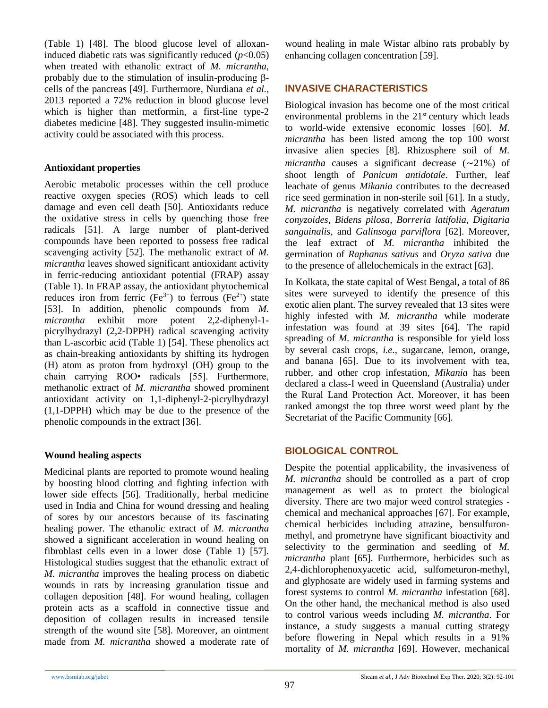(Table 1) [48]. The blood glucose level of alloxaninduced diabetic rats was significantly reduced  $(p<0.05)$ when treated with ethanolic extract of *M. micrantha*, probably due to the stimulation of insulin-producing βcells of the pancreas [49]. Furthermore, Nurdiana *et al.,*  2013 reported a 72% reduction in blood glucose level which is higher than metformin, a first-line type-2 diabetes medicine [48]. They suggested insulin-mimetic activity could be associated with this process.

#### **Antioxidant properties**

Aerobic metabolic processes within the cell produce reactive oxygen species (ROS) which leads to cell damage and even cell death [50]. Antioxidants reduce the oxidative stress in cells by quenching those free radicals [51]. A large number of plant-derived compounds have been reported to possess free radical scavenging activity [52]. The methanolic extract of *M. micrantha* leaves showed significant antioxidant activity in ferric-reducing antioxidant potential (FRAP) assay (Table 1). In FRAP assay, the antioxidant phytochemical reduces iron from ferric  $(Fe^{3+})$  to ferrous  $(Fe^{2+})$  state [53]. In addition, phenolic compounds from *M. micrantha* exhibit more potent 2,2-diphenyl-1 picrylhydrazyl (2,2-DPPH) radical scavenging activity than L-ascorbic acid (Table 1) [54]. These phenolics act as chain-breaking antioxidants by shifting its hydrogen (H) atom as proton from hydroxyl (OH) group to the chain carrying ROO• radicals [55]. Furthermore, methanolic extract of *M. micrantha* showed prominent antioxidant activity on 1,1-diphenyl-2-picrylhydrazyl (1,1-DPPH) which may be due to the presence of the phenolic compounds in the extract [36].

## **Wound healing aspects**

Medicinal plants are reported to promote wound healing by boosting blood clotting and fighting infection with lower side effects [56]. Traditionally, herbal medicine used in India and China for wound dressing and healing of sores by our ancestors because of its fascinating healing power. The ethanolic extract of *M. micrantha* showed a significant acceleration in wound healing on fibroblast cells even in a lower dose (Table 1) [57]. Histological studies suggest that the ethanolic extract of *M. micrantha* improves the healing process on diabetic wounds in rats by increasing granulation tissue and collagen deposition [48]. For wound healing, collagen protein acts as a scaffold in connective tissue and deposition of collagen results in increased tensile strength of the wound site [58]. Moreover, an ointment made from *M. micrantha* showed a moderate rate of wound healing in male Wistar albino rats probably by enhancing collagen concentration [59].

## **INVASIVE CHARACTERISTICS**

Biological invasion has become one of the most critical environmental problems in the  $21<sup>st</sup>$  century which leads to world-wide extensive economic losses [60]. *M. micrantha* has been listed among the top 100 worst invasive alien species [8]. Rhizosphere soil of *M. micrantha* causes a significant decrease  $(\sim 21\%)$  of shoot length of *Panicum antidotale*. Further, leaf leachate of genus *Mikania* contributes to the decreased rice seed germination in non-sterile soil [61]. In a study, *M. micrantha* is negatively correlated with *Ageratum conyzoides, Bidens pilosa, Borreria latifolia, Digitaria sanguinalis,* and *Galinsoga parviflora* [62]. Moreover, the leaf extract of *M. micrantha* inhibited the germination of *Raphanus sativus* and *Oryza sativa* due to the presence of allelochemicals in the extract [63].

In Kolkata, the state capital of West Bengal, a total of 86 sites were surveyed to identify the presence of this exotic alien plant. The survey revealed that 13 sites were highly infested with *M. micrantha* while moderate infestation was found at 39 sites [64]. The rapid spreading of *M. micrantha* is responsible for yield loss by several cash crops, *i.e.,* sugarcane, lemon, orange, and banana [65]. Due to its involvement with tea, rubber, and other crop infestation, *Mikania* has been declared a class-I weed in Queensland (Australia) under the Rural Land Protection Act. Moreover, it has been ranked amongst the top three worst weed plant by the Secretariat of the Pacific Community [66].

## **BIOLOGICAL CONTROL**

Despite the potential applicability, the invasiveness of *M. micrantha* should be controlled as a part of crop management as well as to protect the biological diversity. There are two major weed control strategies chemical and mechanical approaches [67]. For example, chemical herbicides including atrazine, bensulfuronmethyl, and prometryne have significant bioactivity and selectivity to the germination and seedling of *M. micrantha* plant [65]. Furthermore, herbicides such as 2,4-dichlorophenoxyacetic acid, sulfometuron-methyl, and glyphosate are widely used in farming systems and forest systems to control *M. micrantha* infestation [68]. On the other hand, the mechanical method is also used to control various weeds including *M. micrantha*. For instance, a study suggests a manual cutting strategy before flowering in Nepal which results in a 91% mortality of *M. micrantha* [69]. However, mechanical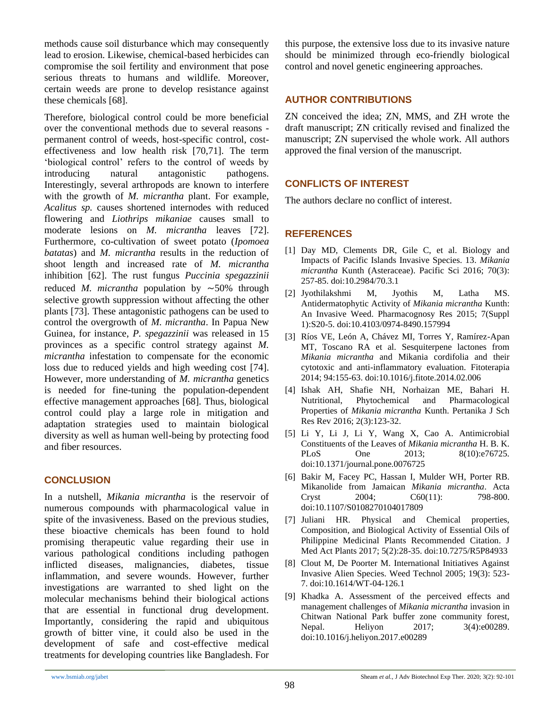methods cause soil disturbance which may consequently lead to erosion. Likewise, chemical-based herbicides can compromise the soil fertility and environment that pose serious threats to humans and wildlife. Moreover, certain weeds are prone to develop resistance against these chemicals [68].

Therefore, biological control could be more beneficial over the conventional methods due to several reasons permanent control of weeds, host-specific control, costeffectiveness and low health risk [70,71]. The term 'biological control' refers to the control of weeds by introducing natural antagonistic pathogens. Interestingly, several arthropods are known to interfere with the growth of *M. micrantha* plant. For example, *Acalitus sp.* causes shortened internodes with reduced flowering and *Liothrips mikaniae* causes small to moderate lesions on *M. micrantha* leaves [72]. Furthermore, co-cultivation of sweet potato (*Ipomoea batatas*) and *M. micrantha* results in the reduction of shoot length and increased rate of *M. micrantha* inhibition [62]. The rust fungus *Puccinia spegazzinii*  reduced *M. micrantha* population by  $\sim$ 50% through selective growth suppression without affecting the other plants [73]. These antagonistic pathogens can be used to control the overgrowth of *M. micrantha*. In Papua New Guinea, for instance, *P. spegazzinii* was released in 15 provinces as a specific control strategy against *M. micrantha* infestation to compensate for the economic loss due to reduced yields and high weeding cost [74]. However, more understanding of *M. micrantha* genetics is needed for fine-tuning the population-dependent effective management approaches [68]. Thus, biological control could play a large role in mitigation and adaptation strategies used to maintain biological diversity as well as human well-being by protecting food and fiber resources.

## **CONCLUSION**

In a nutshell, *Mikania micrantha* is the reservoir of numerous compounds with pharmacological value in spite of the invasiveness. Based on the previous studies, these bioactive chemicals has been found to hold promising therapeutic value regarding their use in various pathological conditions including pathogen inflicted diseases, malignancies, diabetes, tissue inflammation, and severe wounds. However, further investigations are warranted to shed light on the molecular mechanisms behind their biological actions that are essential in functional drug development. Importantly, considering the rapid and ubiquitous growth of bitter vine, it could also be used in the development of safe and cost-effective medical treatments for developing countries like Bangladesh. For this purpose, the extensive loss due to its invasive nature should be minimized through eco-friendly biological control and novel genetic engineering approaches.

## **AUTHOR CONTRIBUTIONS**

ZN conceived the idea; ZN, MMS, and ZH wrote the draft manuscript; ZN critically revised and finalized the manuscript; ZN supervised the whole work. All authors approved the final version of the manuscript.

## **CONFLICTS OF INTEREST**

The authors declare no conflict of interest.

## **REFERENCES**

- [1] Day MD, Clements DR, Gile C, et al. Biology and Impacts of Pacific Islands Invasive Species. 13. *Mikania micrantha* Kunth (Asteraceae). Pacific Sci 2016; 70(3): 257-85. doi:10.2984/70.3.1
- [2] Jyothilakshmi M, Jyothis M, Latha MS. Antidermatophytic Activity of *Mikania micrantha* Kunth: An Invasive Weed. Pharmacognosy Res 2015; 7(Suppl 1):S20-5. doi:10.4103/0974-8490.157994
- [3] Ríos VE, León A, Chávez MI, Torres Y, Ramírez-Apan MT, Toscano RA et al. Sesquiterpene lactones from *Mikania micrantha* and Mikania cordifolia and their cytotoxic and anti-inflammatory evaluation. Fitoterapia 2014; 94:155-63. doi:10.1016/j.fitote.2014.02.006
- [4] Ishak AH, Shafie NH, Norhaizan ME, Bahari H. Nutritional, Phytochemical and Pharmacological Properties of *Mikania micrantha* Kunth. Pertanika J Sch Res Rev 2016; 2(3):123-32.
- [5] Li Y, Li J, Li Y, Wang X, Cao A. Antimicrobial Constituents of the Leaves of *Mikania micrantha* H. B. K. PLoS One 2013; 8(10):e76725. doi:10.1371/journal.pone.0076725
- [6] Bakir M, Facey PC, Hassan I, Mulder WH, Porter RB. Mikanolide from Jamaican *Mikania micrantha*. Acta Cryst 2004; C60(11): 798-800. doi:10.1107/S0108270104017809
- [7] Juliani HR. Physical and Chemical properties, Composition, and Biological Activity of Essential Oils of Philippine Medicinal Plants Recommended Citation. J Med Act Plants 2017; 5(2):28-35. doi:10.7275/R5P84933
- [8] Clout M, De Poorter M. International Initiatives Against Invasive Alien Species. Weed Technol 2005; 19(3): 523- 7. doi:10.1614/WT-04-126.1
- [9] Khadka A. Assessment of the perceived effects and management challenges of *Mikania micrantha* invasion in Chitwan National Park buffer zone community forest, Nepal. Heliyon 2017; 3(4):e00289. doi:10.1016/j.heliyon.2017.e00289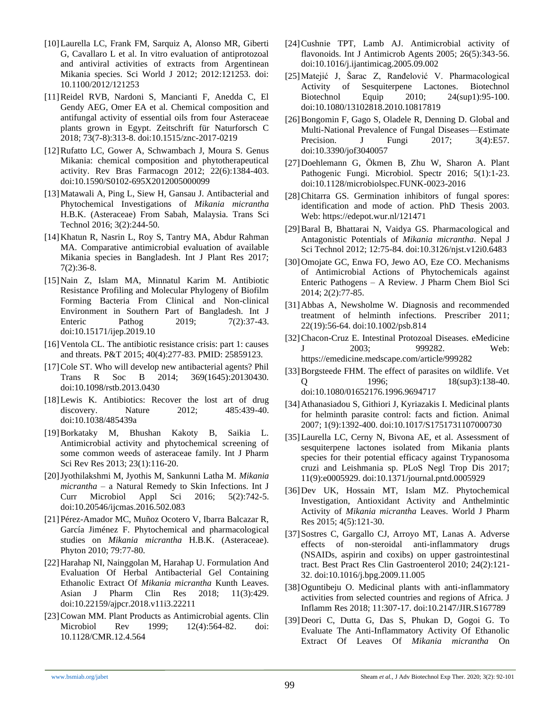- [10]Laurella LC, Frank FM, Sarquiz A, Alonso MR, Giberti G, Cavallaro L et al. In vitro evaluation of antiprotozoal and antiviral activities of extracts from Argentinean Mikania species. Sci World J 2012; 2012:121253. doi: 10.1100/2012/121253
- [11]Reidel RVB, Nardoni S, Mancianti F, Anedda C, El Gendy AEG, Omer EA et al. Chemical composition and antifungal activity of essential oils from four Asteraceae plants grown in Egypt. Zeitschrift für Naturforsch C 2018; 73(7-8):313-8. doi:10.1515/znc-2017-0219
- [12]Rufatto LC, Gower A, Schwambach J, Moura S. Genus Mikania: chemical composition and phytotherapeutical activity. Rev Bras Farmacogn 2012; 22(6):1384-403. doi:10.1590/S0102-695X2012005000099
- [13] Matawali A, Ping L, Siew H, Gansau J. Antibacterial and Phytochemical Investigations of *Mikania micrantha* H.B.K. (Asteraceae) From Sabah, Malaysia. Trans Sci Technol 2016; 3(2):244-50.
- [14]Khatun R, Nasrin L, Roy S, Tantry MA, Abdur Rahman MA. Comparative antimicrobial evaluation of available Mikania species in Bangladesh. Int J Plant Res 2017; 7(2):36-8.
- [15]Nain Z, Islam MA, Minnatul Karim M. Antibiotic Resistance Profiling and Molecular Phylogeny of Biofilm Forming Bacteria From Clinical and Non-clinical Environment in Southern Part of Bangladesh. Int J Enteric Pathog 2019; 7(2):37-43. doi:10.15171/ijep.2019.10
- [16]Ventola CL. The antibiotic resistance crisis: part 1: causes and threats. P&T 2015; 40(4):277-83. PMID: 25859123.
- [17]Cole ST. Who will develop new antibacterial agents? Phil Trans R Soc B 2014; 369(1645):20130430. doi:10.1098/rstb.2013.0430
- [18]Lewis K. Antibiotics: Recover the lost art of drug discovery. Nature 2012; 485:439-40. doi:10.1038/485439a
- [19]Borkataky M, Bhushan Kakoty B, Saikia L. Antimicrobial activity and phytochemical screening of some common weeds of asteraceae family. Int J Pharm Sci Rev Res 2013; 23(1):116-20.
- [20]Jyothilakshmi M, Jyothis M, Sankunni Latha M. *Mikania micrantha* – a Natural Remedy to Skin Infections. Int J Curr Microbiol Appl Sci 2016; 5(2):742-5. doi:10.20546/ijcmas.2016.502.083
- [21]Pérez-Amador MC, Muñoz Ocotero V, Ibarra Balcazar R, García Jiménez F. Phytochemical and pharmacological studies on *Mikania micrantha* H.B.K. (Asteraceae). Phyton 2010; 79:77-80.
- [22]Harahap NI, Nainggolan M, Harahap U. Formulation And Evaluation Of Herbal Antibacterial Gel Containing Ethanolic Extract Of *Mikania micrantha* Kunth Leaves. Asian J Pharm Clin Res 2018; 11(3):429. doi:10.22159/ajpcr.2018.v11i3.22211
- [23] Cowan MM. Plant Products as Antimicrobial agents. Clin Microbiol Rev 1999; 12(4):564-82. doi: 10.1128/CMR.12.4.564
- [24]Cushnie TPT, Lamb AJ. Antimicrobial activity of flavonoids. Int J Antimicrob Agents 2005; 26(5):343-56. doi:10.1016/j.ijantimicag.2005.09.002
- [25]Matejić J, Šarac Z, Ranđelović V. Pharmacological Activity of Sesquiterpene Lactones. Biotechnol Biotechnol Equip 2010; 24(sup1):95-100. doi:10.1080/13102818.2010.10817819
- [26] Bongomin F, Gago S, Oladele R, Denning D. Global and Multi-National Prevalence of Fungal Diseases—Estimate Precision. J Fungi 2017; 3(4):E57. doi:10.3390/jof3040057
- [27]Doehlemann G, Ökmen B, Zhu W, Sharon A. Plant Pathogenic Fungi. Microbiol. Spectr 2016; 5(1):1-23. doi:10.1128/microbiolspec.FUNK-0023-2016
- [28] Chitarra GS. Germination inhibitors of fungal spores: identification and mode of action. PhD Thesis 2003. Web: https://edepot.wur.nl/121471
- [29]Baral B, Bhattarai N, Vaidya GS. Pharmacological and Antagonistic Potentials of *Mikania micrantha*. Nepal J Sci Technol 2012; 12:75-84. doi:10.3126/njst.v12i0.6483
- [30] Omojate GC, Enwa FO, Jewo AO, Eze CO. Mechanisms of Antimicrobial Actions of Phytochemicals against Enteric Pathogens – A Review. J Pharm Chem Biol Sci 2014; 2(2):77-85.
- [31]Abbas A, Newsholme W. Diagnosis and recommended treatment of helminth infections. Prescriber 2011; 22(19):56-64. doi:10.1002/psb.814
- [32]Chacon-Cruz E. Intestinal Protozoal Diseases. eMedicine J 2003; 999282. Web: https://emedicine.medscape.com/article/999282
- [33] Borgsteede FHM. The effect of parasites on wildlife. Vet Q 1996; 18(sup3):138-40. doi:10.1080/01652176.1996.9694717
- [34]Athanasiadou S, Githiori J, Kyriazakis I. Medicinal plants for helminth parasite control: facts and fiction. Animal 2007; 1(9):1392-400. doi:10.1017/S1751731107000730
- [35]Laurella LC, Cerny N, Bivona AE, et al. Assessment of sesquiterpene lactones isolated from Mikania plants species for their potential efficacy against Trypanosoma cruzi and Leishmania sp. PLoS Negl Trop Dis 2017; 11(9):e0005929. doi:10.1371/journal.pntd.0005929
- [36]Dev UK, Hossain MT, Islam MZ. Phytochemical Investigation, Antioxidant Activity and Anthelmintic Activity of *Mikania micrantha* Leaves. World J Pharm Res 2015; 4(5):121-30.
- [37]Sostres C, Gargallo CJ, Arroyo MT, Lanas A. Adverse effects of non-steroidal anti-inflammatory drugs (NSAIDs, aspirin and coxibs) on upper gastrointestinal tract. Best Pract Res Clin Gastroenterol 2010; 24(2):121- 32. doi:10.1016/j.bpg.2009.11.005
- [38]Oguntibeju O. Medicinal plants with anti-inflammatory activities from selected countries and regions of Africa. J Inflamm Res 2018; 11:307-17. doi:10.2147/JIR.S167789
- [39]Deori C, Dutta G, Das S, Phukan D, Gogoi G. To Evaluate The Anti-Inflammatory Activity Of Ethanolic Extract Of Leaves Of *Mikania micrantha* On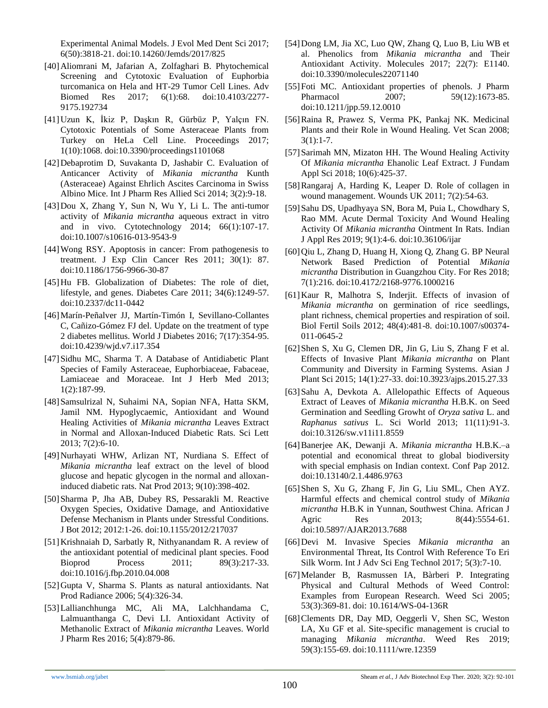Experimental Animal Models. J Evol Med Dent Sci 2017; 6(50):3818-21. doi:10.14260/Jemds/2017/825

- [40]Aliomrani M, Jafarian A, Zolfaghari B. Phytochemical Screening and Cytotoxic Evaluation of Euphorbia turcomanica on Hela and HT-29 Tumor Cell Lines. Adv Biomed Res 2017; 6(1):68. doi:10.4103/2277- 9175.192734
- [41]Uzun K, İkiz P, Daşkın R, Gürbüz P, Yalçın FN. Cytotoxic Potentials of Some Asteraceae Plants from Turkey on HeLa Cell Line. Proceedings 2017; 1(10):1068. doi:10.3390/proceedings1101068
- [42]Debaprotim D, Suvakanta D, Jashabir C. Evaluation of Anticancer Activity of *Mikania micrantha* Kunth (Asteraceae) Against Ehrlich Ascites Carcinoma in Swiss Albino Mice. Int J Pharm Res Allied Sci 2014; 3(2):9-18.
- [43]Dou X, Zhang Y, Sun N, Wu Y, Li L. The anti-tumor activity of *Mikania micrantha* aqueous extract in vitro and in vivo. Cytotechnology 2014; 66(1):107-17. doi:10.1007/s10616-013-9543-9
- [44]Wong RSY. Apoptosis in cancer: From pathogenesis to treatment. J Exp Clin Cancer Res 2011; 30(1): 87. doi:10.1186/1756-9966-30-87
- [45]Hu FB. Globalization of Diabetes: The role of diet, lifestyle, and genes. Diabetes Care 2011; 34(6):1249-57. doi:10.2337/dc11-0442
- [46]Marín-Peñalver JJ, Martín-Timón I, Sevillano-Collantes C, Cañizo-Gómez FJ del. Update on the treatment of type 2 diabetes mellitus. World J Diabetes 2016; 7(17):354-95. doi:10.4239/wjd.v7.i17.354
- [47]Sidhu MC, Sharma T. A Database of Antidiabetic Plant Species of Family Asteraceae, Euphorbiaceae, Fabaceae, Lamiaceae and Moraceae. Int J Herb Med 2013; 1(2):187-99.
- [48]Samsulrizal N, Suhaimi NA, Sopian NFA, Hatta SKM, Jamil NM. Hypoglycaemic, Antioxidant and Wound Healing Activities of *Mikania micrantha* Leaves Extract in Normal and Alloxan-Induced Diabetic Rats. Sci Lett 2013; 7(2):6-10.
- [49]Nurhayati WHW, Arlizan NT, Nurdiana S. Effect of *Mikania micrantha* leaf extract on the level of blood glucose and hepatic glycogen in the normal and alloxaninduced diabetic rats. Nat Prod 2013; 9(10):398-402.
- [50]Sharma P, Jha AB, Dubey RS, Pessarakli M. Reactive Oxygen Species, Oxidative Damage, and Antioxidative Defense Mechanism in Plants under Stressful Conditions. J Bot 2012; 2012:1-26. doi:10.1155/2012/217037
- [51]Krishnaiah D, Sarbatly R, Nithyanandam R. A review of the antioxidant potential of medicinal plant species. Food Bioprod Process 2011; 89(3):217-33. doi:10.1016/j.fbp.2010.04.008
- [52]Gupta V, Sharma S. Plants as natural antioxidants. Nat Prod Radiance 2006; 5(4):326-34.
- [53]Lallianchhunga MC, Ali MA, Lalchhandama C, Lalmuanthanga C, Devi LI. Antioxidant Activity of Methanolic Extract of *Mikania micrantha* Leaves. World J Pharm Res 2016; 5(4):879-86.
- [54]Dong LM, Jia XC, Luo QW, Zhang Q, Luo B, Liu WB et al. Phenolics from *Mikania micrantha* and Their Antioxidant Activity. Molecules 2017; 22(7): E1140. doi:10.3390/molecules22071140
- [55] Foti MC. Antioxidant properties of phenols. J Pharm Pharmacol 2007; 59(12):1673-85. doi:10.1211/jpp.59.12.0010
- [56]Raina R, Prawez S, Verma PK, Pankaj NK. Medicinal Plants and their Role in Wound Healing. Vet Scan 2008; 3(1):1-7.
- [57]Sarimah MN, Mizaton HH. The Wound Healing Activity Of *Mikania micrantha* Ehanolic Leaf Extract. J Fundam Appl Sci 2018; 10(6):425-37.
- [58]Rangaraj A, Harding K, Leaper D. Role of collagen in wound management. Wounds UK 2011; 7(2):54-63.
- [59]Sahu DS, Upadhyaya SN, Bora M, Puia L, Chowdhary S, Rao MM. Acute Dermal Toxicity And Wound Healing Activity Of *Mikania micrantha* Ointment In Rats. Indian J Appl Res 2019; 9(1):4-6. doi:10.36106/ijar
- [60]Qiu L, Zhang D, Huang H, Xiong Q, Zhang G. BP Neural Network Based Prediction of Potential *Mikania micrantha* Distribution in Guangzhou City. For Res 2018; 7(1):216. doi:10.4172/2168-9776.1000216
- [61]Kaur R, Malhotra S, Inderjit. Effects of invasion of *Mikania micrantha* on germination of rice seedlings, plant richness, chemical properties and respiration of soil. Biol Fertil Soils 2012; 48(4):481-8. doi:10.1007/s00374- 011-0645-2
- [62]Shen S, Xu G, Clemen DR, Jin G, Liu S, Zhang F et al. Effects of Invasive Plant *Mikania micrantha* on Plant Community and Diversity in Farming Systems. Asian J Plant Sci 2015; 14(1):27-33. doi:10.3923/ajps.2015.27.33
- [63] Sahu A, Devkota A. Allelopathic Effects of Aqueous Extract of Leaves of *Mikania micrantha* H.B.K. on Seed Germination and Seedling Growht of *Oryza sativa* L. and *Raphanus sativus* L. Sci World 2013; 11(11):91-3. doi:10.3126/sw.v11i11.8559
- [64]Banerjee AK, Dewanji A. *Mikania micrantha* H.B.K.–a potential and economical threat to global biodiversity with special emphasis on Indian context. Conf Pap 2012. doi:10.13140/2.1.4486.9763
- [65]Shen S, Xu G, Zhang F, Jin G, Liu SML, Chen AYZ. Harmful effects and chemical control study of *Mikania micrantha* H.B.K in Yunnan, Southwest China. African J Agric Res 2013; 8(44):5554-61. doi:10.5897/AJAR2013.7688
- [66]Devi M. Invasive Species *Mikania micrantha* an Environmental Threat, Its Control With Reference To Eri Silk Worm. Int J Adv Sci Eng Technol 2017; 5(3):7-10.
- [67]Melander B, Rasmussen IA, Bàrberi P. Integrating Physical and Cultural Methods of Weed Control: Examples from European Research. Weed Sci 2005; 53(3):369-81. doi: 10.1614/WS-04-136R
- [68]Clements DR, Day MD, Oeggerli V, Shen SC, Weston LA, Xu GF et al. Site‐specific management is crucial to managing *Mikania micrantha*. Weed Res 2019; 59(3):155-69. doi:10.1111/wre.12359